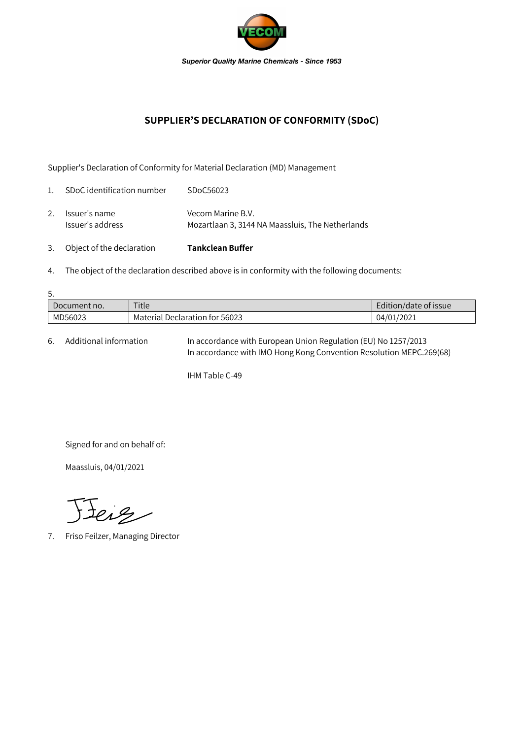

## **SUPPLIER'S DECLARATION OF CONFORMITY (SDoC)**

Supplier's Declaration of Conformity for Material Declaration (MD) Management

| 3.             | Object of the declaration         | <b>Tankclean Buffer</b>                                               |
|----------------|-----------------------------------|-----------------------------------------------------------------------|
| 2.             | Issuer's name<br>Issuer's address | Vecom Marine B.V.<br>Mozartlaan 3, 3144 NA Maassluis, The Netherlands |
| $\mathbf{1}$ . | SDoC identification number        | SDoC56023                                                             |

- 
- 4. The object of the declaration described above is in conformity with the following documents:

| 5.           |                                |                       |  |  |  |  |
|--------------|--------------------------------|-----------------------|--|--|--|--|
| Document no. | Title                          | Edition/date of issue |  |  |  |  |
| MD56023      | Material Declaration for 56023 | 04/01/2021            |  |  |  |  |

6. Additional information In accordance with European Union Regulation (EU) No 1257/2013 In accordance with IMO Hong Kong Convention Resolution MEPC.269(68)

IHM Table C-49

Signed for and on behalf of:

Maassluis, 04/01/2021

Jeiz

7. Friso Feilzer, Managing Director